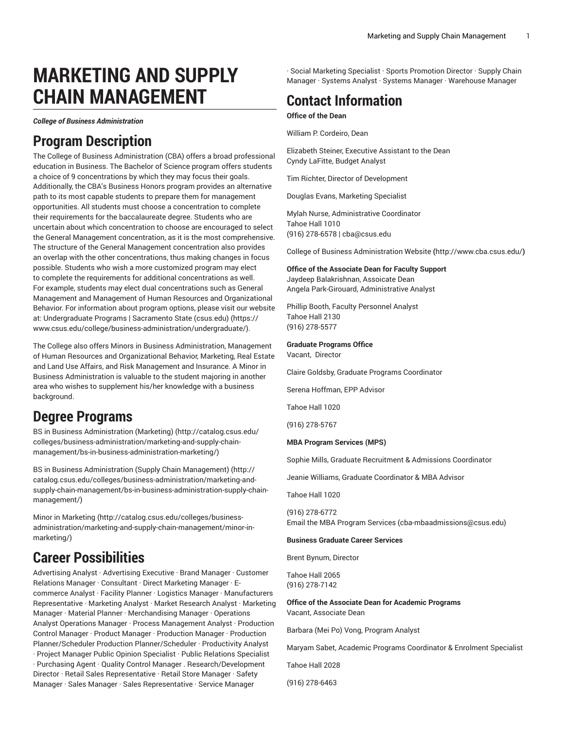# **MARKETING AND SUPPLY CHAIN MANAGEMENT**

*College of Business Administration*

# **Program Description**

The College of Business Administration (CBA) offers a broad professional education in Business. The Bachelor of Science program offers students a choice of 9 concentrations by which they may focus their goals. Additionally, the CBA's Business Honors program provides an alternative path to its most capable students to prepare them for management opportunities. All students must choose a concentration to complete their requirements for the baccalaureate degree. Students who are uncertain about which concentration to choose are encouraged to select the General Management concentration, as it is the most comprehensive. The structure of the General Management concentration also provides an overlap with the other concentrations, thus making changes in focus possible. Students who wish a more customized program may elect to complete the requirements for additional concentrations as well. For example, students may elect dual concentrations such as General Management and Management of Human Resources and Organizational Behavior. For information about program options, please visit our website at: [Undergraduate](https://www.csus.edu/college/business-administration/undergraduate/) Programs | Sacramento State (csus.edu) [\(https://](https://www.csus.edu/college/business-administration/undergraduate/) [www.csus.edu/college/business-administration/undergraduate/](https://www.csus.edu/college/business-administration/undergraduate/)).

The College also offers Minors in Business Administration, Management of Human Resources and Organizational Behavior, Marketing, Real Estate and Land Use Affairs, and Risk Management and Insurance. A Minor in Business Administration is valuable to the student majoring in another area who wishes to supplement his/her knowledge with a business background.

# **Degree Programs**

BS in Business [Administration](http://catalog.csus.edu/colleges/business-administration/marketing-and-supply-chain-management/bs-in-business-administration-marketing/) (Marketing) ([http://catalog.csus.edu/](http://catalog.csus.edu/colleges/business-administration/marketing-and-supply-chain-management/bs-in-business-administration-marketing/) [colleges/business-administration/marketing-and-supply-chain](http://catalog.csus.edu/colleges/business-administration/marketing-and-supply-chain-management/bs-in-business-administration-marketing/)[management/bs-in-business-administration-marketing/](http://catalog.csus.edu/colleges/business-administration/marketing-and-supply-chain-management/bs-in-business-administration-marketing/))

[BS in Business Administration \(Supply Chain Management\) \(http://](http://catalog.csus.edu/colleges/business-administration/marketing-and-supply-chain-management/bs-in-business-administration-supply-chain-management/) [catalog.csus.edu/colleges/business-administration/marketing-and](http://catalog.csus.edu/colleges/business-administration/marketing-and-supply-chain-management/bs-in-business-administration-supply-chain-management/)[supply-chain-management/bs-in-business-administration-supply-chain](http://catalog.csus.edu/colleges/business-administration/marketing-and-supply-chain-management/bs-in-business-administration-supply-chain-management/)[management/\)](http://catalog.csus.edu/colleges/business-administration/marketing-and-supply-chain-management/bs-in-business-administration-supply-chain-management/)

Minor in [Marketing \(http://catalog.csus.edu/colleges/business](http://catalog.csus.edu/colleges/business-administration/marketing-and-supply-chain-management/minor-in-marketing/)[administration/marketing-and-supply-chain-management/minor-in](http://catalog.csus.edu/colleges/business-administration/marketing-and-supply-chain-management/minor-in-marketing/)[marketing/\)](http://catalog.csus.edu/colleges/business-administration/marketing-and-supply-chain-management/minor-in-marketing/)

# **Career Possibilities**

Advertising Analyst · Advertising Executive · Brand Manager · Customer Relations Manager · Consultant · Direct Marketing Manager · Ecommerce Analyst · Facility Planner · Logistics Manager · Manufacturers Representative · Marketing Analyst · Market Research Analyst · Marketing Manager · Material Planner · Merchandising Manager · Operations Analyst Operations Manager · Process Management Analyst · Production Control Manager · Product Manager · Production Manager · Production Planner/Scheduler Production Planner/Scheduler · Productivity Analyst · Project Manager Public Opinion Specialist · Public Relations Specialist

· Purchasing Agent · Quality Control Manager . Research/Development Director · Retail Sales Representative · Retail Store Manager · Safety Manager · Sales Manager · Sales Representative · Service Manager

· Social Marketing Specialist · Sports Promotion Director · Supply Chain Manager · Systems Analyst · Systems Manager · Warehouse Manager

# **Contact Information**

**Office of the Dean**

William P. Cordeiro, Dean

Elizabeth Steiner, Executive Assistant to the Dean Cyndy LaFitte, Budget Analyst

Tim Richter, Director of Development

Douglas Evans, Marketing Specialist

Mylah Nurse, Administrative Coordinator Tahoe Hall 1010 (916) 278-6578 | cba@csus.edu

College of Business [Administration](http://www.cba.csus.edu/) Website **(**<http://www.cba.csus.edu/>**)**

# **Office of the Associate Dean for Faculty Support**

Jaydeep Balakrishnan, Assoicate Dean Angela Park-Girouard, Administrative Analyst

Phillip Booth, Faculty Personnel Analyst Tahoe Hall 2130 (916) 278-5577

### **Graduate Programs Office**

Vacant, Director

Claire Goldsby, Graduate Programs Coordinator

Serena Hoffman, EPP Advisor

Tahoe Hall 1020

(916) 278-5767

### **MBA Program Services (MPS)**

Sophie Mills, Graduate Recruitment & Admissions Coordinator

Jeanie Williams, Graduate Coordinator & MBA Advisor

Tahoe Hall 1020

(916) 278-6772 Email the MBA [Program](mailto:cba-mbaadmissions@csus.edu) Services (<cba-mbaadmissions@csus.edu>)

### **Business Graduate Career Services**

Brent Bynum, Director

Tahoe Hall 2065 (916) 278-7142

### **Office of the Associate Dean for Academic Programs** Vacant, Associate Dean

Barbara (Mei Po) Vong, Program Analyst

Maryam Sabet, Academic Programs Coordinator & Enrolment Specialist

Tahoe Hall 2028

(916) 278-6463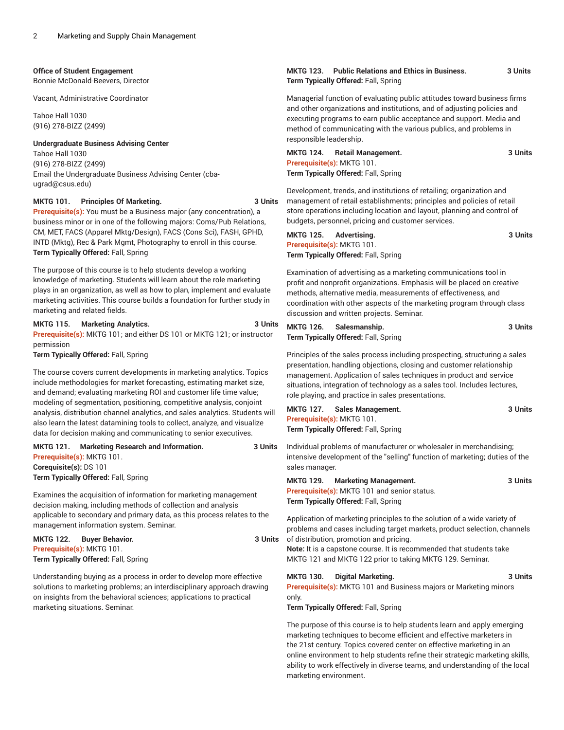### **Office of Student Engagement**

Bonnie McDonald-Beevers, Director

Vacant, Administrative Coordinator

Tahoe Hall 1030 (916) 278-BIZZ (2499)

**Undergraduate Business Advising Center**

Tahoe Hall 1030 (916) 278-BIZZ (2499) Email the [Undergraduate](mailto:cba-ugrad@csus.edu) Business Advising Center [\(cba](cba-ugrad@csus.edu)[ugrad@csus.edu\)](cba-ugrad@csus.edu)

# **MKTG 101. Principles Of Marketing. 3 Units**

**Prerequisite(s):** You must be a Business major (any concentration), a business minor or in one of the following majors: Coms/Pub Relations, CM, MET, FACS (Apparel Mktg/Design), FACS (Cons Sci), FASH, GPHD, INTD (Mktg), Rec & Park Mgmt, Photography to enroll in this course. **Term Typically Offered:** Fall, Spring

The purpose of this course is to help students develop a working knowledge of marketing. Students will learn about the role marketing plays in an organization, as well as how to plan, implement and evaluate marketing activities. This course builds a foundation for further study in marketing and related fields.

# **MKTG 115. Marketing Analytics. 3 Units**

**Prerequisite(s):** MKTG 101; and either DS 101 or MKTG 121; or instructor permission

**Term Typically Offered:** Fall, Spring

The course covers current developments in marketing analytics. Topics include methodologies for market forecasting, estimating market size, and demand; evaluating marketing ROI and customer life time value; modeling of segmentation, positioning, competitive analysis, conjoint analysis, distribution channel analytics, and sales analytics. Students will also learn the latest datamining tools to collect, analyze, and visualize data for decision making and communicating to senior executives.

# **MKTG 121. Marketing Research and Information. 3 Units Prerequisite(s):** MKTG 101. **Corequisite(s):** DS 101

**Term Typically Offered:** Fall, Spring

Examines the acquisition of information for marketing management decision making, including methods of collection and analysis applicable to secondary and primary data, as this process relates to the management information system. Seminar.

**MKTG 122. Buyer Behavior. 3 Units Prerequisite(s):** MKTG 101. **Term Typically Offered:** Fall, Spring

Understanding buying as a process in order to develop more effective solutions to marketing problems; an interdisciplinary approach drawing on insights from the behavioral sciences; applications to practical marketing situations. Seminar.

# **MKTG 123. Public Relations and Ethics in Business. 3 Units Term Typically Offered:** Fall, Spring

Managerial function of evaluating public attitudes toward business firms and other organizations and institutions, and of adjusting policies and executing programs to earn public acceptance and support. Media and method of communicating with the various publics, and problems in responsible leadership.

| MKTG 124. | <b>Retail Management.</b>            | 3 Units |
|-----------|--------------------------------------|---------|
|           | Prerequisite(s): MKTG 101.           |         |
|           | Term Typically Offered: Fall, Spring |         |

Development, trends, and institutions of retailing; organization and management of retail establishments; principles and policies of retail store operations including location and layout, planning and control of budgets, personnel, pricing and customer services.

| <b>MKTG 125.</b><br>Advertisina.            | 3 Units |
|---------------------------------------------|---------|
| Prerequisite(s): MKTG 101.                  |         |
| <b>Term Typically Offered: Fall, Spring</b> |         |

Examination of advertising as a marketing communications tool in profit and nonprofit organizations. Emphasis will be placed on creative methods, alternative media, measurements of effectiveness, and coordination with other aspects of the marketing program through class discussion and written projects. Seminar.

| MKTG 126. | Salesmanship.                        | 3 Units |
|-----------|--------------------------------------|---------|
|           | Term Typically Offered: Fall, Spring |         |

Principles of the sales process including prospecting, structuring a sales presentation, handling objections, closing and customer relationship management. Application of sales techniques in product and service situations, integration of technology as a sales tool. Includes lectures, role playing, and practice in sales presentations.

| MKTG 127.                  | Sales Management.                    | 3 Units |
|----------------------------|--------------------------------------|---------|
| Prerequisite(s): MKTG 101. |                                      |         |
|                            | Term Typically Offered: Fall, Spring |         |

Individual problems of manufacturer or wholesaler in merchandising; intensive development of the "selling" function of marketing; duties of the sales manager.

| MKTG 129. | <b>Marketing Management.</b>                        | 3 Units |
|-----------|-----------------------------------------------------|---------|
|           | <b>Prerequisite(s): MKTG 101 and senior status.</b> |         |
|           | <b>Term Typically Offered: Fall, Spring</b>         |         |

Application of marketing principles to the solution of a wide variety of problems and cases including target markets, product selection, channels of distribution, promotion and pricing. **Note:** It is a capstone course. It is recommended that students take MKTG 121 and MKTG 122 prior to taking MKTG 129. Seminar.

# **MKTG 130. Digital Marketing. 3 Units**

**Prerequisite(s):** MKTG 101 and Business majors or Marketing minors only.

**Term Typically Offered:** Fall, Spring

The purpose of this course is to help students learn and apply emerging marketing techniques to become efficient and effective marketers in the 21st century. Topics covered center on effective marketing in an online environment to help students refine their strategic marketing skills, ability to work effectively in diverse teams, and understanding of the local marketing environment.